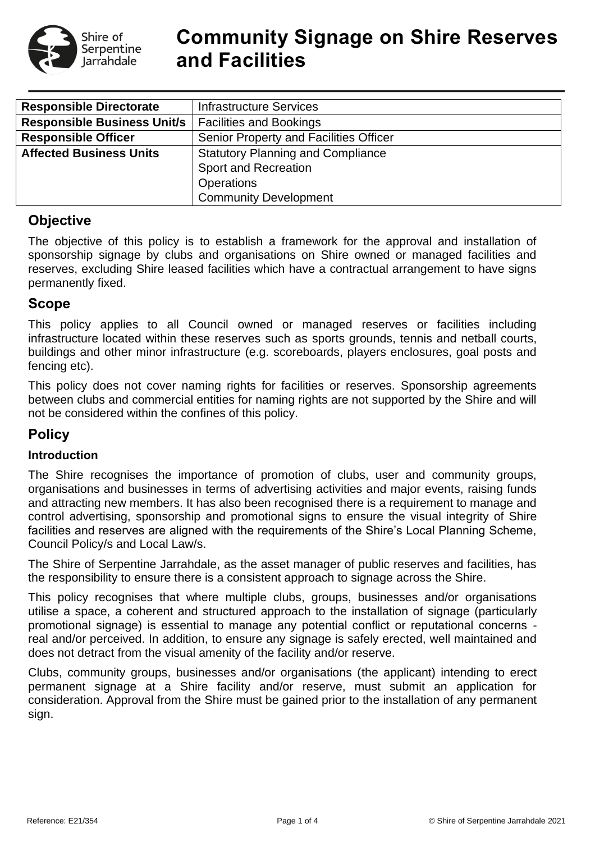

# **Community Signage on Shire Reserves and Facilities**

| <b>Responsible Directorate</b>     | <b>Infrastructure Services</b>           |  |  |  |
|------------------------------------|------------------------------------------|--|--|--|
| <b>Responsible Business Unit/s</b> | <b>Facilities and Bookings</b>           |  |  |  |
| <b>Responsible Officer</b>         | Senior Property and Facilities Officer   |  |  |  |
| <b>Affected Business Units</b>     | <b>Statutory Planning and Compliance</b> |  |  |  |
|                                    | <b>Sport and Recreation</b>              |  |  |  |
|                                    | <b>Operations</b>                        |  |  |  |
|                                    | <b>Community Development</b>             |  |  |  |

# **Objective**

The objective of this policy is to establish a framework for the approval and installation of sponsorship signage by clubs and organisations on Shire owned or managed facilities and reserves, excluding Shire leased facilities which have a contractual arrangement to have signs permanently fixed.

# **Scope**

This policy applies to all Council owned or managed reserves or facilities including infrastructure located within these reserves such as sports grounds, tennis and netball courts, buildings and other minor infrastructure (e.g. scoreboards, players enclosures, goal posts and fencing etc).

This policy does not cover naming rights for facilities or reserves. Sponsorship agreements between clubs and commercial entities for naming rights are not supported by the Shire and will not be considered within the confines of this policy.

# **Policy**

#### **Introduction**

The Shire recognises the importance of promotion of clubs, user and community groups, organisations and businesses in terms of advertising activities and major events, raising funds and attracting new members. It has also been recognised there is a requirement to manage and control advertising, sponsorship and promotional signs to ensure the visual integrity of Shire facilities and reserves are aligned with the requirements of the Shire's Local Planning Scheme, Council Policy/s and Local Law/s.

The Shire of Serpentine Jarrahdale, as the asset manager of public reserves and facilities, has the responsibility to ensure there is a consistent approach to signage across the Shire.

This policy recognises that where multiple clubs, groups, businesses and/or organisations utilise a space, a coherent and structured approach to the installation of signage (particularly promotional signage) is essential to manage any potential conflict or reputational concerns real and/or perceived. In addition, to ensure any signage is safely erected, well maintained and does not detract from the visual amenity of the facility and/or reserve.

Clubs, community groups, businesses and/or organisations (the applicant) intending to erect permanent signage at a Shire facility and/or reserve, must submit an application for consideration. Approval from the Shire must be gained prior to the installation of any permanent sign.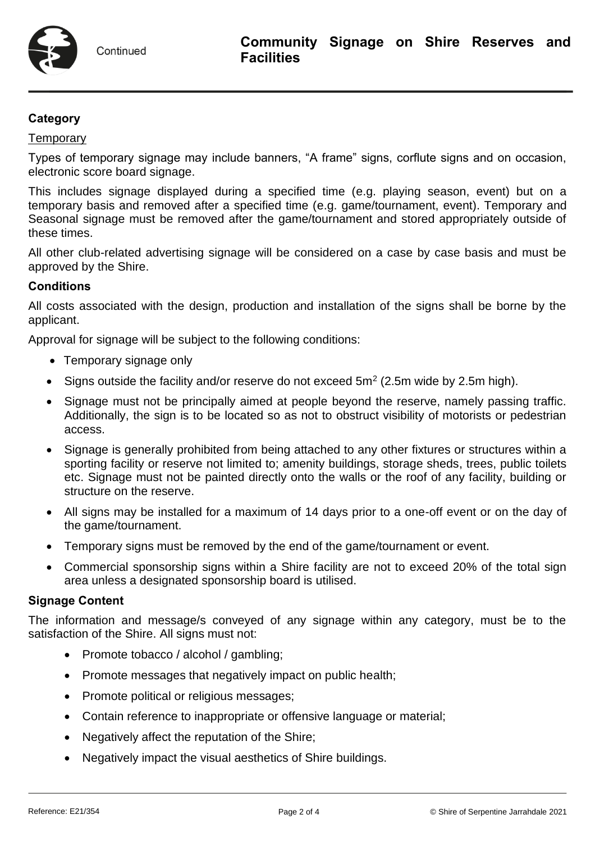## **Category**

#### **Temporary**

Types of temporary signage may include banners, "A frame" signs, corflute signs and on occasion, electronic score board signage.

This includes signage displayed during a specified time (e.g. playing season, event) but on a temporary basis and removed after a specified time (e.g. game/tournament, event). Temporary and Seasonal signage must be removed after the game/tournament and stored appropriately outside of these times.

All other club-related advertising signage will be considered on a case by case basis and must be approved by the Shire.

#### **Conditions**

All costs associated with the design, production and installation of the signs shall be borne by the applicant.

Approval for signage will be subject to the following conditions:

- Temporary signage only
- Signs outside the facility and/or reserve do not exceed  $5m^2$  (2.5m wide by 2.5m high).
- Signage must not be principally aimed at people beyond the reserve, namely passing traffic. Additionally, the sign is to be located so as not to obstruct visibility of motorists or pedestrian access.
- Signage is generally prohibited from being attached to any other fixtures or structures within a sporting facility or reserve not limited to; amenity buildings, storage sheds, trees, public toilets etc. Signage must not be painted directly onto the walls or the roof of any facility, building or structure on the reserve.
- All signs may be installed for a maximum of 14 days prior to a one-off event or on the day of the game/tournament.
- Temporary signs must be removed by the end of the game/tournament or event.
- Commercial sponsorship signs within a Shire facility are not to exceed 20% of the total sign area unless a designated sponsorship board is utilised.

#### **Signage Content**

The information and message/s conveyed of any signage within any category, must be to the satisfaction of the Shire. All signs must not:

- Promote tobacco / alcohol / gambling;
- Promote messages that negatively impact on public health;
- Promote political or religious messages;
- Contain reference to inappropriate or offensive language or material;
- Negatively affect the reputation of the Shire;
- Negatively impact the visual aesthetics of Shire buildings.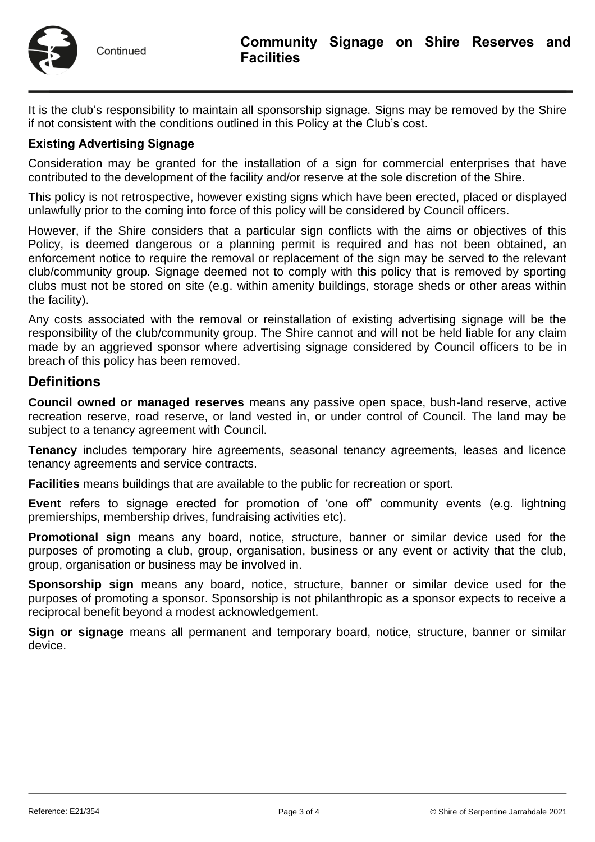

It is the club's responsibility to maintain all sponsorship signage. Signs may be removed by the Shire if not consistent with the conditions outlined in this Policy at the Club's cost.

### **Existing Advertising Signage**

Consideration may be granted for the installation of a sign for commercial enterprises that have contributed to the development of the facility and/or reserve at the sole discretion of the Shire.

This policy is not retrospective, however existing signs which have been erected, placed or displayed unlawfully prior to the coming into force of this policy will be considered by Council officers.

However, if the Shire considers that a particular sign conflicts with the aims or objectives of this Policy, is deemed dangerous or a planning permit is required and has not been obtained, an enforcement notice to require the removal or replacement of the sign may be served to the relevant club/community group. Signage deemed not to comply with this policy that is removed by sporting clubs must not be stored on site (e.g. within amenity buildings, storage sheds or other areas within the facility).

Any costs associated with the removal or reinstallation of existing advertising signage will be the responsibility of the club/community group. The Shire cannot and will not be held liable for any claim made by an aggrieved sponsor where advertising signage considered by Council officers to be in breach of this policy has been removed.

# **Definitions**

**Council owned or managed reserves** means any passive open space, bush-land reserve, active recreation reserve, road reserve, or land vested in, or under control of Council. The land may be subject to a tenancy agreement with Council.

**Tenancy** includes temporary hire agreements, seasonal tenancy agreements, leases and licence tenancy agreements and service contracts.

**Facilities** means buildings that are available to the public for recreation or sport.

**Event** refers to signage erected for promotion of 'one off' community events (e.g. lightning premierships, membership drives, fundraising activities etc).

**Promotional sign** means any board, notice, structure, banner or similar device used for the purposes of promoting a club, group, organisation, business or any event or activity that the club, group, organisation or business may be involved in.

**Sponsorship sign** means any board, notice, structure, banner or similar device used for the purposes of promoting a sponsor. Sponsorship is not philanthropic as a sponsor expects to receive a reciprocal benefit beyond a modest acknowledgement.

**Sign or signage** means all permanent and temporary board, notice, structure, banner or similar device.